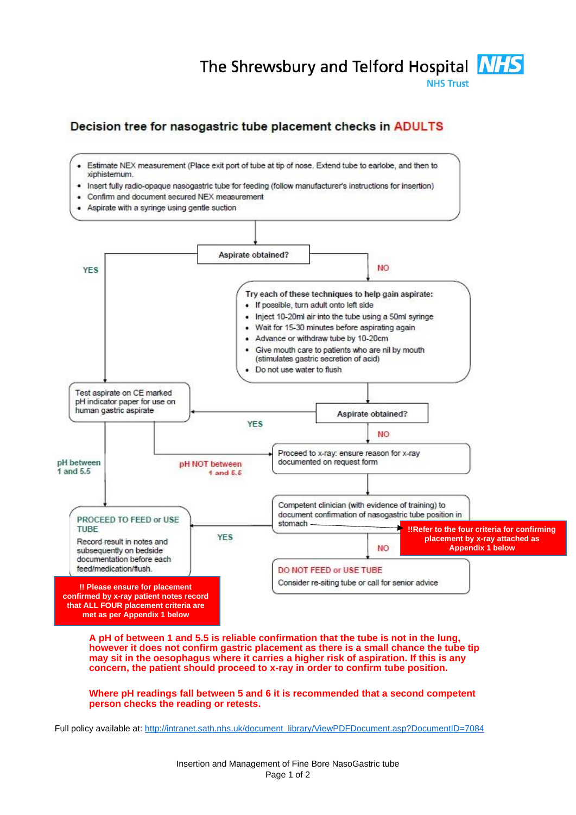## The Shrewsbury and Telford Hospital **NHS**

**NHS Trust** 

## Decision tree for nasogastric tube placement checks in ADULTS



**A pH of between 1 and 5.5 is reliable confirmation that the tube is not in the lung, however it does not confirm gastric placement as there is a small chance the tube tip may sit in the oesophagus where it carries a higher risk of aspiration. If this is any concern, the patient should proceed to x-ray in order to confirm tube position.**

## **Where pH readings fall between 5 and 6 it is recommended that a second competent person checks the reading or retests.**

Full policy available at[: http://intranet.sath.nhs.uk/document\\_library/ViewPDFDocument.asp?DocumentID=7084](http://intranet.sath.nhs.uk/document_library/ViewPDFDocument.asp?DocumentID=7084)